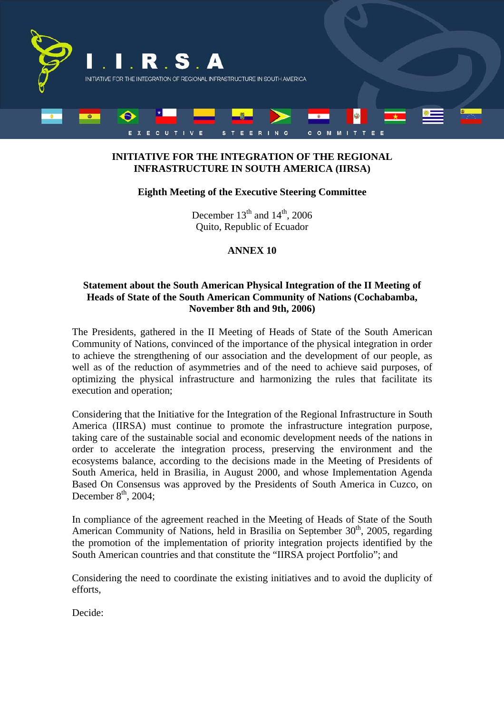

# **INITIATIVE FOR THE INTEGRATION OF THE REGIONAL INFRASTRUCTURE IN SOUTH AMERICA (IIRSA)**

### **Eighth Meeting of the Executive Steering Committee**

December  $13<sup>th</sup>$  and  $14<sup>th</sup>$ , 2006 Quito, Republic of Ecuador

# **ANNEX 10**

#### **Statement about the South American Physical Integration of the II Meeting of Heads of State of the South American Community of Nations (Cochabamba, November 8th and 9th, 2006)**

The Presidents, gathered in the II Meeting of Heads of State of the South American Community of Nations, convinced of the importance of the physical integration in order to achieve the strengthening of our association and the development of our people, as well as of the reduction of asymmetries and of the need to achieve said purposes, of optimizing the physical infrastructure and harmonizing the rules that facilitate its execution and operation;

Considering that the Initiative for the Integration of the Regional Infrastructure in South America (IIRSA) must continue to promote the infrastructure integration purpose, taking care of the sustainable social and economic development needs of the nations in order to accelerate the integration process, preserving the environment and the ecosystems balance, according to the decisions made in the Meeting of Presidents of South America, held in Brasilia, in August 2000, and whose Implementation Agenda Based On Consensus was approved by the Presidents of South America in Cuzco, on December  $8<sup>th</sup>$ , 2004;

In compliance of the agreement reached in the Meeting of Heads of State of the South American Community of Nations, held in Brasilia on September  $30<sup>th</sup>$ , 2005, regarding the promotion of the implementation of priority integration projects identified by the South American countries and that constitute the "IIRSA project Portfolio"; and

Considering the need to coordinate the existing initiatives and to avoid the duplicity of efforts,

Decide: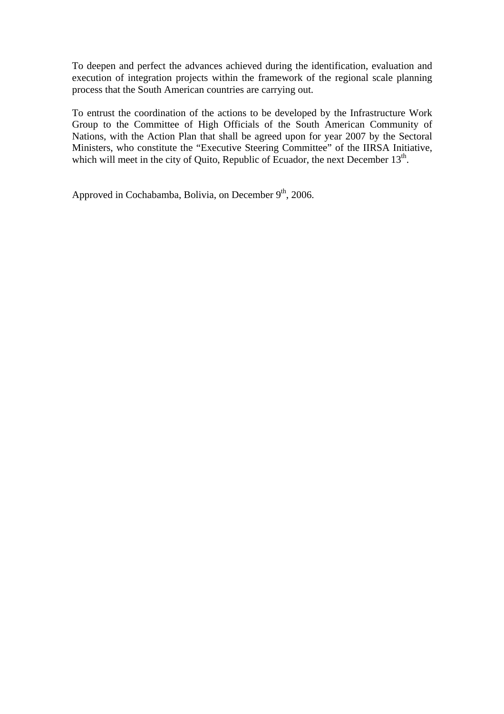To deepen and perfect the advances achieved during the identification, evaluation and execution of integration projects within the framework of the regional scale planning process that the South American countries are carrying out.

To entrust the coordination of the actions to be developed by the Infrastructure Work Group to the Committee of High Officials of the South American Community of Nations, with the Action Plan that shall be agreed upon for year 2007 by the Sectoral Ministers, who constitute the "Executive Steering Committee" of the IIRSA Initiative, which will meet in the city of Quito, Republic of Ecuador, the next December  $13<sup>th</sup>$ .

Approved in Cochabamba, Bolivia, on December 9<sup>th</sup>, 2006.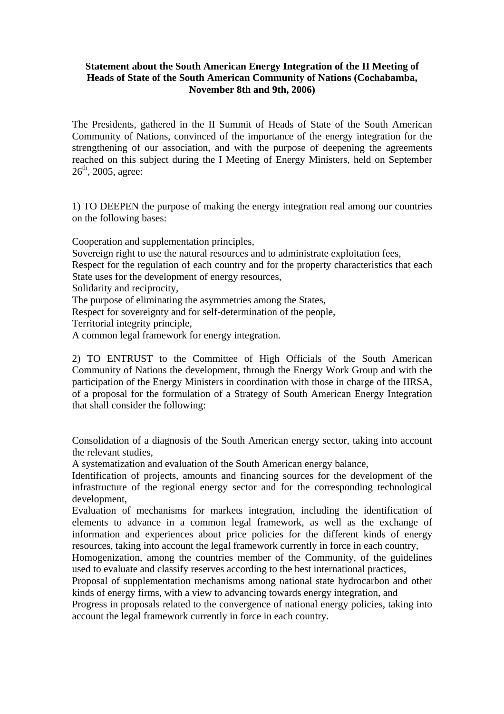### **Statement about the South American Energy Integration of the II Meeting of Heads of State of the South American Community of Nations (Cochabamba, November 8th and 9th, 2006)**

The Presidents, gathered in the II Summit of Heads of State of the South American Community of Nations, convinced of the importance of the energy integration for the strengthening of our association, and with the purpose of deepening the agreements reached on this subject during the I Meeting of Energy Ministers, held on September  $26^{\text{th}}$ , 2005, agree:

1) TO DEEPEN the purpose of making the energy integration real among our countries on the following bases:

Cooperation and supplementation principles,

Sovereign right to use the natural resources and to administrate exploitation fees,

Respect for the regulation of each country and for the property characteristics that each State uses for the development of energy resources,

Solidarity and reciprocity,

The purpose of eliminating the asymmetries among the States,

Respect for sovereignty and for self-determination of the people,

Territorial integrity principle,

A common legal framework for energy integration.

2) TO ENTRUST to the Committee of High Officials of the South American Community of Nations the development, through the Energy Work Group and with the participation of the Energy Ministers in coordination with those in charge of the IIRSA, of a proposal for the formulation of a Strategy of South American Energy Integration that shall consider the following:

Consolidation of a diagnosis of the South American energy sector, taking into account the relevant studies,

A systematization and evaluation of the South American energy balance,

Identification of projects, amounts and financing sources for the development of the infrastructure of the regional energy sector and for the corresponding technological development,

Evaluation of mechanisms for markets integration, including the identification of elements to advance in a common legal framework, as well as the exchange of information and experiences about price policies for the different kinds of energy resources, taking into account the legal framework currently in force in each country,

Homogenization, among the countries member of the Community, of the guidelines used to evaluate and classify reserves according to the best international practices,

Proposal of supplementation mechanisms among national state hydrocarbon and other kinds of energy firms, with a view to advancing towards energy integration, and

Progress in proposals related to the convergence of national energy policies, taking into account the legal framework currently in force in each country.